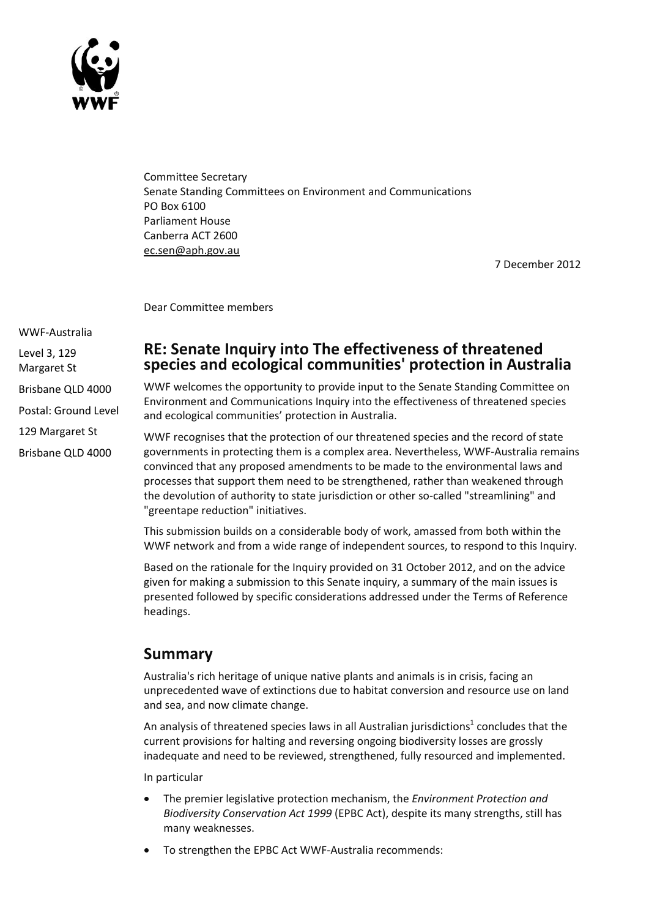

Committee Secretary Senate Standing Committees on Environment and Communications PO Box 6100 Parliament House Canberra ACT 2600 [ec.sen@aph.gov.au](mailto:ec.sen@aph.gov.au)

7 December 2012

Dear Committee members

WWF-Australia

Level 3, 129

Margaret St

Brisbane QLD 4000

Postal: Ground Level

129 Margaret St

Brisbane QLD 4000

## **RE: Senate Inquiry into The effectiveness of threatened species and ecological communities' protection in Australia**

WWF welcomes the opportunity to provide input to the Senate Standing Committee on Environment and Communications Inquiry into the effectiveness of threatened species and ecological communities' protection in Australia.

WWF recognises that the protection of our threatened species and the record of state governments in protecting them is a complex area. Nevertheless, WWF-Australia remains convinced that any proposed amendments to be made to the environmental laws and processes that support them need to be strengthened, rather than weakened through the devolution of authority to state jurisdiction or other so-called "streamlining" and "greentape reduction" initiatives.

This submission builds on a considerable body of work, amassed from both within the WWF network and from a wide range of independent sources, to respond to this Inquiry.

Based on the rationale for the Inquiry provided on 31 October 2012, and on the advice given for making a submission to this Senate inquiry, a summary of the main issues is presented followed by specific considerations addressed under the Terms of Reference headings.

# **Summary**

Australia's rich heritage of unique native plants and animals is in crisis, facing an unprecedented wave of extinctions due to habitat conversion and resource use on land and sea, and now climate change.

An analysis of threatened species laws in all Australian jurisdictions<sup>1</sup> concludes that the current provisions for halting and reversing ongoing biodiversity losses are grossly inadequate and need to be reviewed, strengthened, fully resourced and implemented.

In particular

- The premier legislative protection mechanism, the *Environment Protection and Biodiversity Conservation Act 1999* (EPBC Act), despite its many strengths, still has many weaknesses.
- To strengthen the EPBC Act WWF-Australia recommends: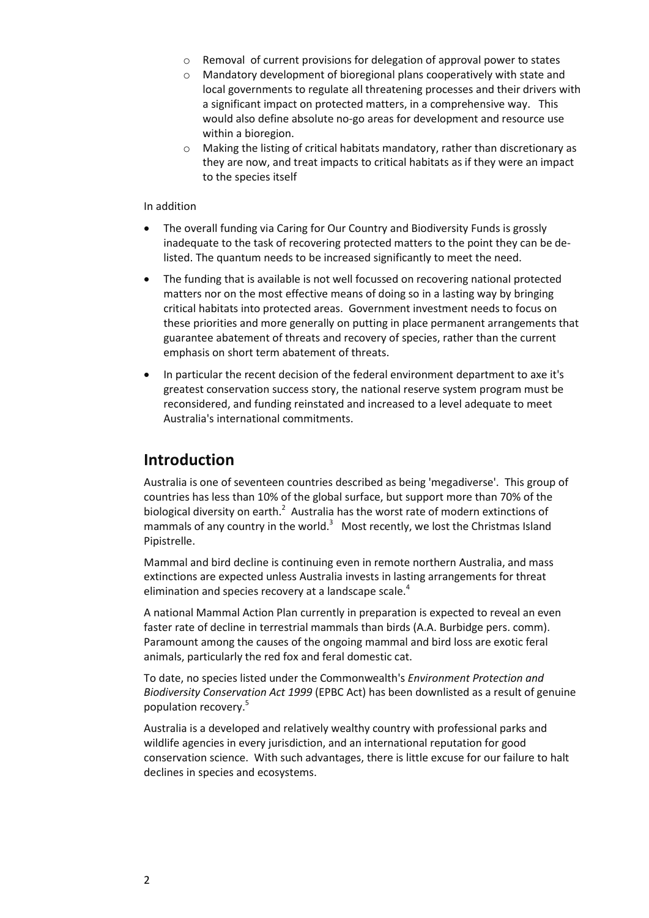- o Removal of current provisions for delegation of approval power to states
- o Mandatory development of bioregional plans cooperatively with state and local governments to regulate all threatening processes and their drivers with a significant impact on protected matters, in a comprehensive way. This would also define absolute no-go areas for development and resource use within a bioregion.
- o Making the listing of critical habitats mandatory, rather than discretionary as they are now, and treat impacts to critical habitats as if they were an impact to the species itself

#### In addition

- The overall funding via Caring for Our Country and Biodiversity Funds is grossly inadequate to the task of recovering protected matters to the point they can be delisted. The quantum needs to be increased significantly to meet the need.
- The funding that is available is not well focussed on recovering national protected matters nor on the most effective means of doing so in a lasting way by bringing critical habitats into protected areas. Government investment needs to focus on these priorities and more generally on putting in place permanent arrangements that guarantee abatement of threats and recovery of species, rather than the current emphasis on short term abatement of threats.
- In particular the recent decision of the federal environment department to axe it's greatest conservation success story, the national reserve system program must be reconsidered, and funding reinstated and increased to a level adequate to meet Australia's international commitments.

## **Introduction**

Australia is one of seventeen countries described as being 'megadiverse'. This group of countries has less than 10% of the global surface, but support more than 70% of the biological diversity on earth. $2$  Australia has the worst rate of modern extinctions of mammals of any country in the world.<sup>3</sup> Most recently, we lost the Christmas Island Pipistrelle.

Mammal and bird decline is continuing even in remote northern Australia, and mass extinctions are expected unless Australia invests in lasting arrangements for threat elimination and species recovery at a landscape scale. $4$ 

A national Mammal Action Plan currently in preparation is expected to reveal an even faster rate of decline in terrestrial mammals than birds (A.A. Burbidge pers. comm). Paramount among the causes of the ongoing mammal and bird loss are exotic feral animals, particularly the red fox and feral domestic cat.

To date, no species listed under the Commonwealth's *Environment Protection and Biodiversity Conservation Act 1999* (EPBC Act) has been downlisted as a result of genuine population recovery.<sup>5</sup>

Australia is a developed and relatively wealthy country with professional parks and wildlife agencies in every jurisdiction, and an international reputation for good conservation science. With such advantages, there is little excuse for our failure to halt declines in species and ecosystems.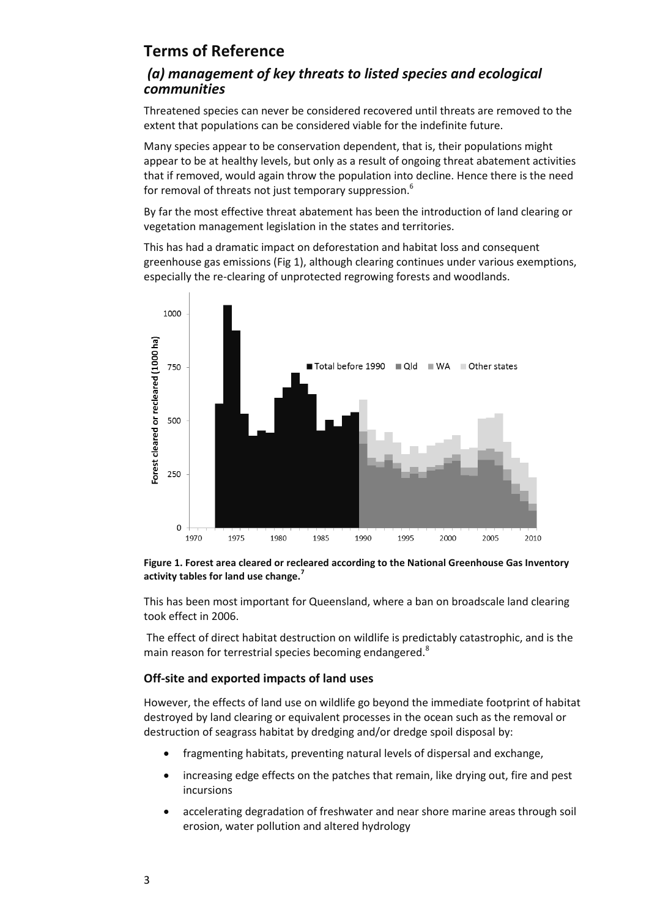# **Terms of Reference**

## *(a) management of key threats to listed species and ecological communities*

Threatened species can never be considered recovered until threats are removed to the extent that populations can be considered viable for the indefinite future.

Many species appear to be conservation dependent, that is, their populations might appear to be at healthy levels, but only as a result of ongoing threat abatement activities that if removed, would again throw the population into decline. Hence there is the need for removal of threats not just temporary suppression.<sup>6</sup>

By far the most effective threat abatement has been the introduction of land clearing or vegetation management legislation in the states and territories.

This has had a dramatic impact on deforestation and habitat loss and consequent greenhouse gas emissions (Fig 1), although clearing continues under various exemptions, especially the re-clearing of unprotected regrowing forests and woodlands.



**Figure 1. Forest area cleared or recleared according to the National Greenhouse Gas Inventory activity tables for land use change.<sup>7</sup>**

This has been most important for Queensland, where a ban on broadscale land clearing took effect in 2006.

The effect of direct habitat destruction on wildlife is predictably catastrophic, and is the main reason for terrestrial species becoming endangered.<sup>8</sup>

### **Off-site and exported impacts of land uses**

However, the effects of land use on wildlife go beyond the immediate footprint of habitat destroyed by land clearing or equivalent processes in the ocean such as the removal or destruction of seagrass habitat by dredging and/or dredge spoil disposal by:

- fragmenting habitats, preventing natural levels of dispersal and exchange,
- increasing edge effects on the patches that remain, like drying out, fire and pest incursions
- accelerating degradation of freshwater and near shore marine areas through soil erosion, water pollution and altered hydrology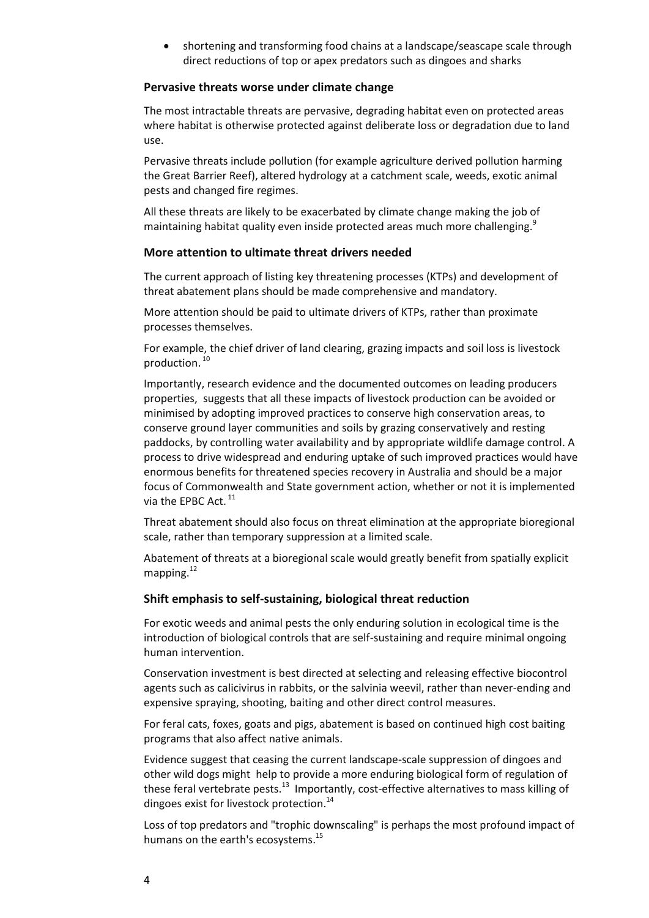shortening and transforming food chains at a landscape/seascape scale through direct reductions of top or apex predators such as dingoes and sharks

#### **Pervasive threats worse under climate change**

The most intractable threats are pervasive, degrading habitat even on protected areas where habitat is otherwise protected against deliberate loss or degradation due to land use.

Pervasive threats include pollution (for example agriculture derived pollution harming the Great Barrier Reef), altered hydrology at a catchment scale, weeds, exotic animal pests and changed fire regimes.

All these threats are likely to be exacerbated by climate change making the job of maintaining habitat quality even inside protected areas much more challenging.<sup>9</sup>

#### **More attention to ultimate threat drivers needed**

The current approach of listing key threatening processes (KTPs) and development of threat abatement plans should be made comprehensive and mandatory.

More attention should be paid to ultimate drivers of KTPs, rather than proximate processes themselves.

For example, the chief driver of land clearing, grazing impacts and soil loss is livestock production. 10

Importantly, research evidence and the documented outcomes on leading producers properties, suggests that all these impacts of livestock production can be avoided or minimised by adopting improved practices to conserve high conservation areas, to conserve ground layer communities and soils by grazing conservatively and resting paddocks, by controlling water availability and by appropriate wildlife damage control. A process to drive widespread and enduring uptake of such improved practices would have enormous benefits for threatened species recovery in Australia and should be a major focus of Commonwealth and State government action, whether or not it is implemented via the EPBC Act.<sup>11</sup>

Threat abatement should also focus on threat elimination at the appropriate bioregional scale, rather than temporary suppression at a limited scale.

Abatement of threats at a bioregional scale would greatly benefit from spatially explicit mapping. 12

#### **Shift emphasis to self-sustaining, biological threat reduction**

For exotic weeds and animal pests the only enduring solution in ecological time is the introduction of biological controls that are self-sustaining and require minimal ongoing human intervention.

Conservation investment is best directed at selecting and releasing effective biocontrol agents such as calicivirus in rabbits, or the salvinia weevil, rather than never-ending and expensive spraying, shooting, baiting and other direct control measures.

For feral cats, foxes, goats and pigs, abatement is based on continued high cost baiting programs that also affect native animals.

Evidence suggest that ceasing the current landscape-scale suppression of dingoes and other wild dogs might help to provide a more enduring biological form of regulation of these feral vertebrate pests.<sup>13</sup> Importantly, cost-effective alternatives to mass killing of dingoes exist for livestock protection.<sup>14</sup>

Loss of top predators and "trophic downscaling" is perhaps the most profound impact of humans on the earth's ecosystems.<sup>15</sup>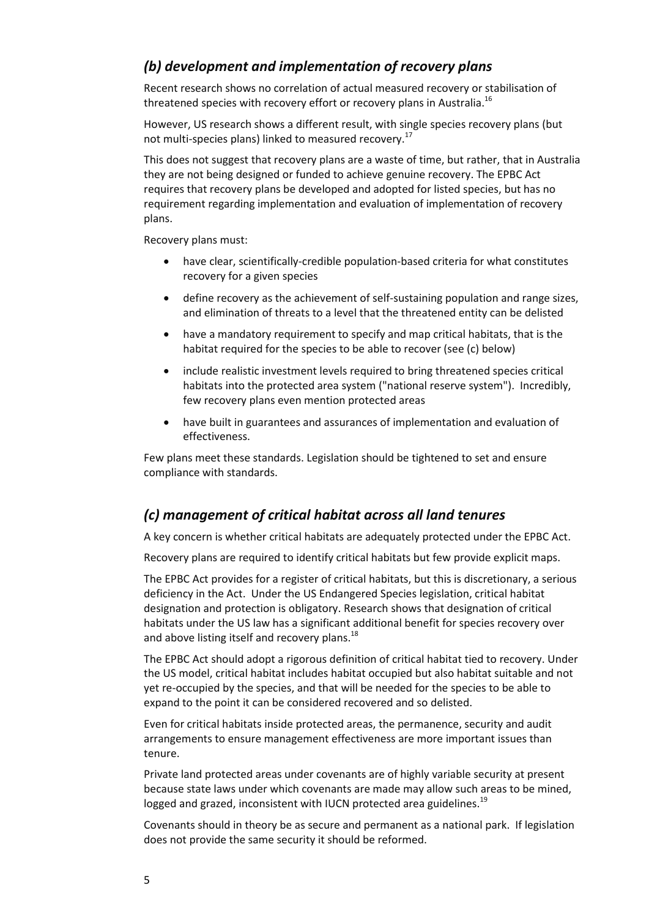## *(b) development and implementation of recovery plans*

Recent research shows no correlation of actual measured recovery or stabilisation of threatened species with recovery effort or recovery plans in Australia.<sup>16</sup>

However, US research shows a different result, with single species recovery plans (but not multi-species plans) linked to measured recovery.<sup>17</sup>

This does not suggest that recovery plans are a waste of time, but rather, that in Australia they are not being designed or funded to achieve genuine recovery. The EPBC Act requires that recovery plans be developed and adopted for listed species, but has no requirement regarding implementation and evaluation of implementation of recovery plans.

Recovery plans must:

- have clear, scientifically-credible population-based criteria for what constitutes recovery for a given species
- define recovery as the achievement of self-sustaining population and range sizes, and elimination of threats to a level that the threatened entity can be delisted
- have a mandatory requirement to specify and map critical habitats, that is the habitat required for the species to be able to recover (see (c) below)
- include realistic investment levels required to bring threatened species critical habitats into the protected area system ("national reserve system"). Incredibly, few recovery plans even mention protected areas
- have built in guarantees and assurances of implementation and evaluation of effectiveness.

Few plans meet these standards. Legislation should be tightened to set and ensure compliance with standards.

## *(c) management of critical habitat across all land tenures*

A key concern is whether critical habitats are adequately protected under the EPBC Act.

Recovery plans are required to identify critical habitats but few provide explicit maps.

The EPBC Act provides for a register of critical habitats, but this is discretionary, a serious deficiency in the Act. Under the US Endangered Species legislation, critical habitat designation and protection is obligatory. Research shows that designation of critical habitats under the US law has a significant additional benefit for species recovery over and above listing itself and recovery plans.<sup>18</sup>

The EPBC Act should adopt a rigorous definition of critical habitat tied to recovery. Under the US model, critical habitat includes habitat occupied but also habitat suitable and not yet re-occupied by the species, and that will be needed for the species to be able to expand to the point it can be considered recovered and so delisted.

Even for critical habitats inside protected areas, the permanence, security and audit arrangements to ensure management effectiveness are more important issues than tenure.

Private land protected areas under covenants are of highly variable security at present because state laws under which covenants are made may allow such areas to be mined, logged and grazed, inconsistent with IUCN protected area guidelines.<sup>19</sup>

Covenants should in theory be as secure and permanent as a national park. If legislation does not provide the same security it should be reformed.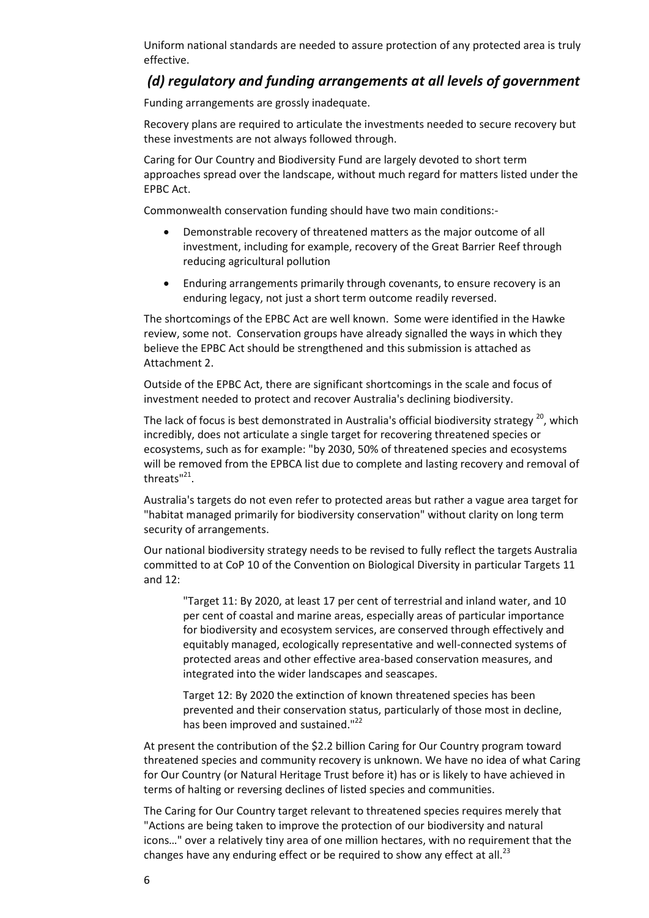Uniform national standards are needed to assure protection of any protected area is truly effective.

## *(d) regulatory and funding arrangements at all levels of government*

Funding arrangements are grossly inadequate.

Recovery plans are required to articulate the investments needed to secure recovery but these investments are not always followed through.

Caring for Our Country and Biodiversity Fund are largely devoted to short term approaches spread over the landscape, without much regard for matters listed under the EPBC Act.

Commonwealth conservation funding should have two main conditions:-

- Demonstrable recovery of threatened matters as the major outcome of all investment, including for example, recovery of the Great Barrier Reef through reducing agricultural pollution
- Enduring arrangements primarily through covenants, to ensure recovery is an enduring legacy, not just a short term outcome readily reversed.

The shortcomings of the EPBC Act are well known. Some were identified in the Hawke review, some not. Conservation groups have already signalled the ways in which they believe the EPBC Act should be strengthened and this submission is attached as Attachment 2.

Outside of the EPBC Act, there are significant shortcomings in the scale and focus of investment needed to protect and recover Australia's declining biodiversity.

The lack of focus is best demonstrated in Australia's official biodiversity strategy <sup>20</sup>, which incredibly, does not articulate a single target for recovering threatened species or ecosystems, such as for example: "by 2030, 50% of threatened species and ecosystems will be removed from the EPBCA list due to complete and lasting recovery and removal of threats"<sup>21</sup>.

Australia's targets do not even refer to protected areas but rather a vague area target for "habitat managed primarily for biodiversity conservation" without clarity on long term security of arrangements.

Our national biodiversity strategy needs to be revised to fully reflect the targets Australia committed to at CoP 10 of the Convention on Biological Diversity in particular Targets 11 and 12:

"Target 11: By 2020, at least 17 per cent of terrestrial and inland water, and 10 per cent of coastal and marine areas, especially areas of particular importance for biodiversity and ecosystem services, are conserved through effectively and equitably managed, ecologically representative and well-connected systems of protected areas and other effective area-based conservation measures, and integrated into the wider landscapes and seascapes.

Target 12: By 2020 the extinction of known threatened species has been prevented and their conservation status, particularly of those most in decline, has been improved and sustained."<sup>22</sup>

At present the contribution of the \$2.2 billion Caring for Our Country program toward threatened species and community recovery is unknown. We have no idea of what Caring for Our Country (or Natural Heritage Trust before it) has or is likely to have achieved in terms of halting or reversing declines of listed species and communities.

The Caring for Our Country target relevant to threatened species requires merely that "Actions are being taken to improve the protection of our biodiversity and natural icons…" over a relatively tiny area of one million hectares, with no requirement that the changes have any enduring effect or be required to show any effect at all.<sup>23</sup>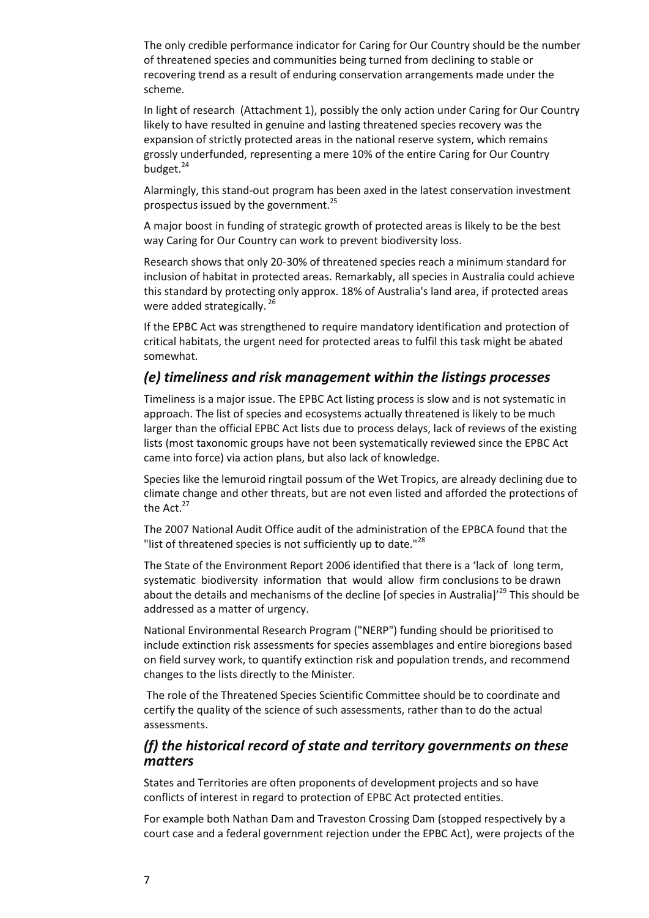The only credible performance indicator for Caring for Our Country should be the number of threatened species and communities being turned from declining to stable or recovering trend as a result of enduring conservation arrangements made under the scheme.

In light of research (Attachment 1), possibly the only action under Caring for Our Country likely to have resulted in genuine and lasting threatened species recovery was the expansion of strictly protected areas in the national reserve system, which remains grossly underfunded, representing a mere 10% of the entire Caring for Our Country budget.<sup>24</sup>

Alarmingly, this stand-out program has been axed in the latest conservation investment prospectus issued by the government. $^{25}$ 

A major boost in funding of strategic growth of protected areas is likely to be the best way Caring for Our Country can work to prevent biodiversity loss.

Research shows that only 20-30% of threatened species reach a minimum standard for inclusion of habitat in protected areas. Remarkably, all species in Australia could achieve this standard by protecting only approx. 18% of Australia's land area, if protected areas were added strategically.<sup>26</sup>

If the EPBC Act was strengthened to require mandatory identification and protection of critical habitats, the urgent need for protected areas to fulfil this task might be abated somewhat.

### *(e) timeliness and risk management within the listings processes*

Timeliness is a major issue. The EPBC Act listing process is slow and is not systematic in approach. The list of species and ecosystems actually threatened is likely to be much larger than the official EPBC Act lists due to process delays, lack of reviews of the existing lists (most taxonomic groups have not been systematically reviewed since the EPBC Act came into force) via action plans, but also lack of knowledge.

Species like the lemuroid ringtail possum of the Wet Tropics, are already declining due to climate change and other threats, but are not even listed and afforded the protections of the Act.<sup>27</sup>

The 2007 National Audit Office audit of the administration of the EPBCA found that the "list of threatened species is not sufficiently up to date."<sup>28</sup>

The State of the Environment Report 2006 identified that there is a 'lack of long term, systematic biodiversity information that would allow firm conclusions to be drawn about the details and mechanisms of the decline [of species in Australia]<sup> $29$ </sup> This should be addressed as a matter of urgency.

National Environmental Research Program ("NERP") funding should be prioritised to include extinction risk assessments for species assemblages and entire bioregions based on field survey work, to quantify extinction risk and population trends, and recommend changes to the lists directly to the Minister.

The role of the Threatened Species Scientific Committee should be to coordinate and certify the quality of the science of such assessments, rather than to do the actual assessments.

### *(f) the historical record of state and territory governments on these matters*

States and Territories are often proponents of development projects and so have conflicts of interest in regard to protection of EPBC Act protected entities.

For example both Nathan Dam and Traveston Crossing Dam (stopped respectively by a court case and a federal government rejection under the EPBC Act), were projects of the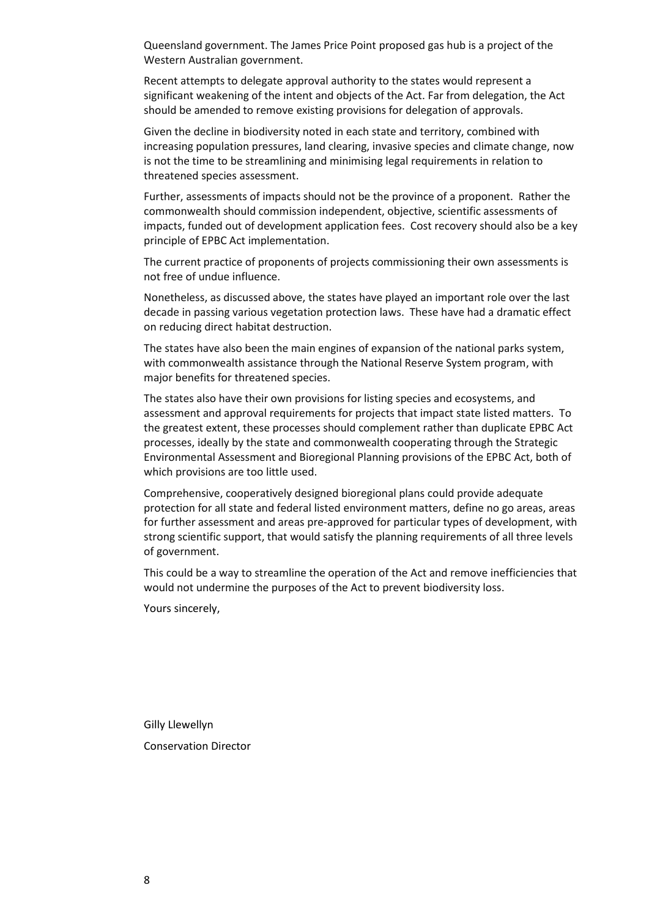Queensland government. The James Price Point proposed gas hub is a project of the Western Australian government.

Recent attempts to delegate approval authority to the states would represent a significant weakening of the intent and objects of the Act. Far from delegation, the Act should be amended to remove existing provisions for delegation of approvals.

Given the decline in biodiversity noted in each state and territory, combined with increasing population pressures, land clearing, invasive species and climate change, now is not the time to be streamlining and minimising legal requirements in relation to threatened species assessment.

Further, assessments of impacts should not be the province of a proponent. Rather the commonwealth should commission independent, objective, scientific assessments of impacts, funded out of development application fees. Cost recovery should also be a key principle of EPBC Act implementation.

The current practice of proponents of projects commissioning their own assessments is not free of undue influence.

Nonetheless, as discussed above, the states have played an important role over the last decade in passing various vegetation protection laws. These have had a dramatic effect on reducing direct habitat destruction.

The states have also been the main engines of expansion of the national parks system, with commonwealth assistance through the National Reserve System program, with major benefits for threatened species.

The states also have their own provisions for listing species and ecosystems, and assessment and approval requirements for projects that impact state listed matters. To the greatest extent, these processes should complement rather than duplicate EPBC Act processes, ideally by the state and commonwealth cooperating through the Strategic Environmental Assessment and Bioregional Planning provisions of the EPBC Act, both of which provisions are too little used.

Comprehensive, cooperatively designed bioregional plans could provide adequate protection for all state and federal listed environment matters, define no go areas, areas for further assessment and areas pre-approved for particular types of development, with strong scientific support, that would satisfy the planning requirements of all three levels of government.

This could be a way to streamline the operation of the Act and remove inefficiencies that would not undermine the purposes of the Act to prevent biodiversity loss.

Yours sincerely,

Gilly Llewellyn Conservation Director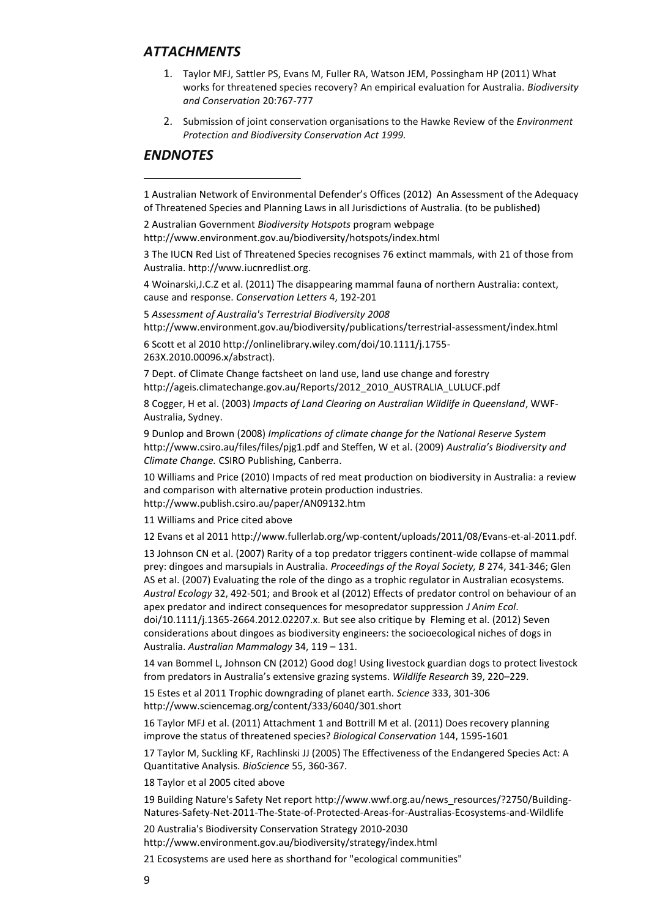### *ATTACHMENTS*

- 1. Taylor MFJ, Sattler PS, Evans M, Fuller RA, Watson JEM, Possingham HP (2011) What works for threatened species recovery? An empirical evaluation for Australia. *Biodiversity and Conservation* 20:767-777
- 2. Submission of joint conservation organisations to the Hawke Review of the *Environment Protection and Biodiversity Conservation Act 1999.*

#### *ENDNOTES*

**.** 

1 Australian Network of Environmental Defender's Offices (2012) An Assessment of the Adequacy of Threatened Species and Planning Laws in all Jurisdictions of Australia. (to be published)

2 Australian Government *Biodiversity Hotspots* program webpage http://www.environment.gov.au/biodiversity/hotspots/index.html

3 The IUCN Red List of Threatened Species recognises 76 extinct mammals, with 21 of those from Australia[. http://www.iucnredlist.org.](javascript:void(0);/*1314071568838*/)

4 Woinarski,J.C.Z et al. (2011) The disappearing mammal fauna of northern Australia: context, cause and response. *Conservation Letters* 4, 192-201

5 *Assessment of Australia's Terrestrial Biodiversity 2008*

http://www.environment.gov.au/biodiversity/publications/terrestrial-assessment/index.html

6 Scott et al 2010 http://onlinelibrary.wiley.com/doi/10.1111/j.1755- 263X.2010.00096.x/abstract).

7 Dept. of Climate Change factsheet on land use, land use change and forestry [http://ageis.climatechange.gov.au/Reports/2012\\_2010\\_AUSTRALIA\\_LULUCF.pdf](http://ageis.climatechange.gov.au/Reports/2012_2010_AUSTRALIA_LULUCF.pdf)

8 Cogger, H et al. (2003) *Impacts of Land Clearing on Australian Wildlife in Queensland*, WWF-Australia, Sydney.

9 Dunlop and Brown (2008) *Implications of climate change for the National Reserve System* <http://www.csiro.au/files/files/pjg1.pdf> and Steffen, W et al. (2009) *Australia's Biodiversity and Climate Change.* CSIRO Publishing, Canberra.

10 Williams and Price (2010) Impacts of red meat production on biodiversity in Australia: a review and comparison with alternative protein production industries. http://www.publish.csiro.au/paper/AN09132.htm

11 Williams and Price cited above

12 Evans et al 201[1 http://www.fullerlab.org/wp-content/uploads/2011/08/Evans-et-al-2011.pdf.](http://www.fullerlab.org/wp-content/uploads/2011/08/Evans-et-al-2011.pdf)

13 Johnson CN et al. (2007) Rarity of a top predator triggers continent-wide collapse of mammal prey: dingoes and marsupials in Australia. *Proceedings of the Royal Society, B* 274, 341-346; Glen AS et al. (2007) Evaluating the role of the dingo as a trophic regulator in Australian ecosystems. *Austral Ecology* 32, 492-501; and Brook et al (2012) Effects of predator control on behaviour of an apex predator and indirect consequences for mesopredator suppression *J Anim Ecol*.

doi/10.1111/j.1365-2664.2012.02207.x. But see also critique by Fleming et al. (2012) Seven considerations about dingoes as biodiversity engineers: the socioecological niches of dogs in Australia. *Australian Mammalogy* 34, 119 – 131.

14 van Bommel L, Johnson CN (2012) Good dog! Using livestock guardian dogs to protect livestock from predators in Australia's extensive grazing systems. *Wildlife Research* 39, 220–229.

15 Estes et al 2011 Trophic downgrading of planet earth. *Science* 333, 301-306 http://www.sciencemag.org/content/333/6040/301.short

16 Taylor MFJ et al. (2011) Attachment 1 and Bottrill M et al. (2011) Does recovery planning improve the status of threatened species? *Biological Conservation* 144, 1595-1601

17 Taylor M, Suckling KF, Rachlinski JJ (2005) The Effectiveness of the Endangered Species Act: A Quantitative Analysis. *BioScience* 55, 360-367.

18 Taylor et al 2005 cited above

19 Building Nature's Safety Net report [http://www.wwf.org.au/news\\_resources/?2750/Building-](http://www.wwf.org.au/news_resources/?2750/Building-Natures-Safety-Net-2011-The-State-of-Protected-Areas-for-Australias-Ecosystems-and-Wildlife)[Natures-Safety-Net-2011-The-State-of-Protected-Areas-for-Australias-Ecosystems-and-Wildlife](http://www.wwf.org.au/news_resources/?2750/Building-Natures-Safety-Net-2011-The-State-of-Protected-Areas-for-Australias-Ecosystems-and-Wildlife)

20 Australia's Biodiversity Conservation Strategy 2010-2030

http://www.environment.gov.au/biodiversity/strategy/index.html

21 Ecosystems are used here as shorthand for "ecological communities"